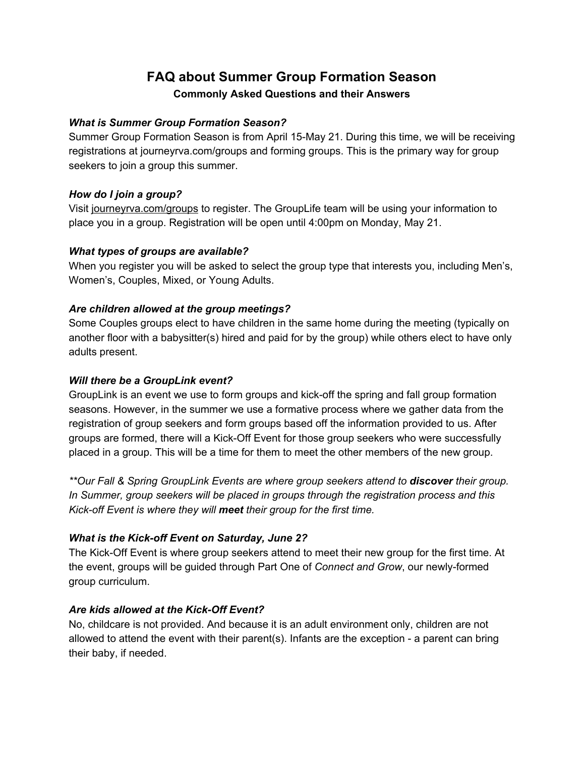# **FAQ about Summer Group Formation Season Commonly Asked Questions and their Answers**

# *What is Summer Group Formation Season?*

Summer Group Formation Season is from April 15-May 21. During this time, we will be receiving registrations at journeyrva.com/groups and forming groups. This is the primary way for group seekers to join a group this summer.

## *How do I join a group?*

Visit journeyrva.com/groups to register. The GroupLife team will be using your information to place you in a group. Registration will be open until 4:00pm on Monday, May 21.

### *What types of groups are available?*

When you register you will be asked to select the group type that interests you, including Men's, Women's, Couples, Mixed, or Young Adults.

## *Are children allowed at the group meetings?*

Some Couples groups elect to have children in the same home during the meeting (typically on another floor with a babysitter(s) hired and paid for by the group) while others elect to have only adults present.

## *Will there be a GroupLink event?*

GroupLink is an event we use to form groups and kick-off the spring and fall group formation seasons. However, in the summer we use a formative process where we gather data from the registration of group seekers and form groups based off the information provided to us. After groups are formed, there will a Kick-Off Event for those group seekers who were successfully placed in a group. This will be a time for them to meet the other members of the new group.

*\*\*Our Fall & Spring GroupLink Events are where group seekers attend to discover their group. In Summer, group seekers will be placed in groups through the registration process and this Kick-off Event is where they will meet t heir group for the first time.*

# *What is the Kick-off Event on Saturday, June 2?*

The Kick-Off Event is where group seekers attend to meet their new group for the first time. At the event, groups will be guided through Part One of *Connect and Grow*, our newly-formed group curriculum.

# *Are kids allowed at the Kick-Off Event?*

No, childcare is not provided. And because it is an adult environment only, children are not allowed to attend the event with their parent(s). Infants are the exception - a parent can bring their baby, if needed.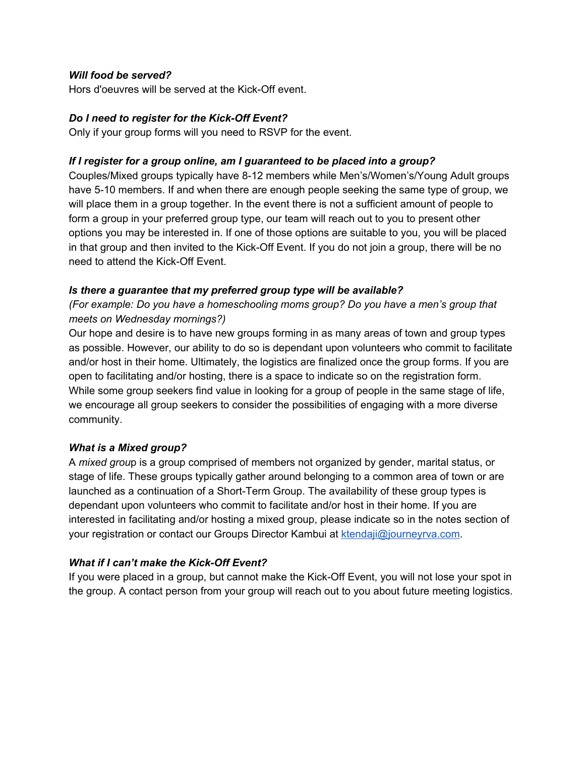## *Will food be served?*

Hors d'oeuvres will be served at the Kick-Off event.

## *Do I need to register for the Kick-Off Event?*

Only if your group forms will you need to RSVP for the event.

## *If I register for a group online, am I guaranteed to be placed into a group?*

Couples/Mixed groups typically have 8-12 members while Men's/Women's/Young Adult groups have 5-10 members. If and when there are enough people seeking the same type of group, we will place them in a group together. In the event there is not a sufficient amount of people to form a group in your preferred group type, our team will reach out to you to present other options you may be interested in. If one of those options are suitable to you, you will be placed in that group and then invited to the Kick-Off Event. If you do not join a group, there will be no need to attend the Kick-Off Event.

## *Is there a guarantee that my preferred group type will be available?*

*(For example: Do you have a homeschooling moms group? Do you have a men's group that meets on Wednesday mornings?)*

Our hope and desire is to have new groups forming in as many areas of town and group types as possible. However, our ability to do so is dependant upon volunteers who commit to facilitate and/or host in their home. Ultimately, the logistics are finalized once the group forms. If you are open to facilitating and/or hosting, there is a space to indicate so on the registration form. While some group seekers find value in looking for a group of people in the same stage of life, we encourage all group seekers to consider the possibilities of engaging with a more diverse community.

### *What is a Mixed group?*

A *mixed grou*p is a group comprised of members not organized by gender, marital status, or stage of life. These groups typically gather around belonging to a common area of town or are launched as a continuation of a Short-Term Group. The availability of these group types is dependant upon volunteers who commit to facilitate and/or host in their home. If you are interested in facilitating and/or hosting a mixed group, please indicate so in the notes section of your registration or contact our Groups Director Kambui at [ktendaji@journeyrva.com.](mailto:ktendaji@journeyrva.com)

# *What if I can't make the Kick-Off Event?*

If you were placed in a group, but cannot make the Kick-Off Event, you will not lose your spot in the group. A contact person from your group will reach out to you about future meeting logistics.